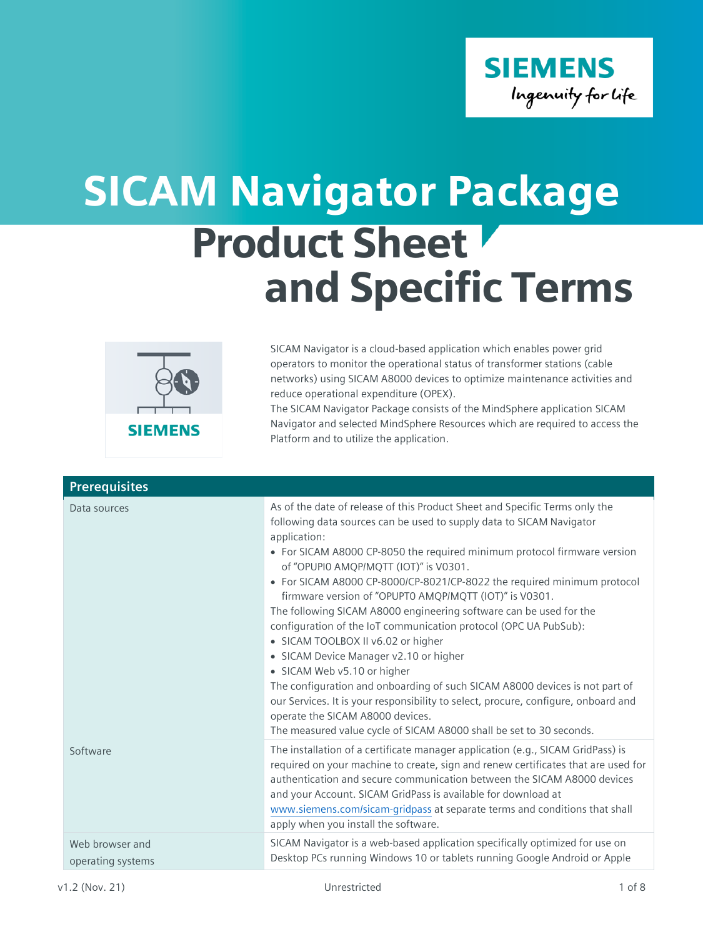

## Product Sheet and Specific Terms SICAM Navigator Package



SICAM Navigator is a cloud-based application which enables power grid operators to monitor the operational status of transformer stations (cable networks) using SICAM A8000 devices to optimize maintenance activities and reduce operational expenditure (OPEX).

The SICAM Navigator Package consists of the MindSphere application SICAM Navigator and selected MindSphere Resources which are required to access the Platform and to utilize the application.

| <b>Prerequisites</b>                 |                                                                                                                                                                                                                                                                                                                                                                                                                                                                                                                                                                                                                                                                                                                                                                                                                                                                                                                                                                        |
|--------------------------------------|------------------------------------------------------------------------------------------------------------------------------------------------------------------------------------------------------------------------------------------------------------------------------------------------------------------------------------------------------------------------------------------------------------------------------------------------------------------------------------------------------------------------------------------------------------------------------------------------------------------------------------------------------------------------------------------------------------------------------------------------------------------------------------------------------------------------------------------------------------------------------------------------------------------------------------------------------------------------|
| Data sources                         | As of the date of release of this Product Sheet and Specific Terms only the<br>following data sources can be used to supply data to SICAM Navigator<br>application:<br>• For SICAM A8000 CP-8050 the required minimum protocol firmware version<br>of "OPUPIO AMQP/MQTT (IOT)" is V0301.<br>• For SICAM A8000 CP-8000/CP-8021/CP-8022 the required minimum protocol<br>firmware version of "OPUPT0 AMQP/MQTT (IOT)" is V0301.<br>The following SICAM A8000 engineering software can be used for the<br>configuration of the IoT communication protocol (OPC UA PubSub):<br>• SICAM TOOLBOX II v6.02 or higher<br>• SICAM Device Manager v2.10 or higher<br>· SICAM Web v5.10 or higher<br>The configuration and onboarding of such SICAM A8000 devices is not part of<br>our Services. It is your responsibility to select, procure, configure, onboard and<br>operate the SICAM A8000 devices.<br>The measured value cycle of SICAM A8000 shall be set to 30 seconds. |
| Software                             | The installation of a certificate manager application (e.g., SICAM GridPass) is<br>required on your machine to create, sign and renew certificates that are used for<br>authentication and secure communication between the SICAM A8000 devices<br>and your Account. SICAM GridPass is available for download at<br>www.siemens.com/sicam-gridpass at separate terms and conditions that shall<br>apply when you install the software.                                                                                                                                                                                                                                                                                                                                                                                                                                                                                                                                 |
| Web browser and<br>operating systems | SICAM Navigator is a web-based application specifically optimized for use on<br>Desktop PCs running Windows 10 or tablets running Google Android or Apple                                                                                                                                                                                                                                                                                                                                                                                                                                                                                                                                                                                                                                                                                                                                                                                                              |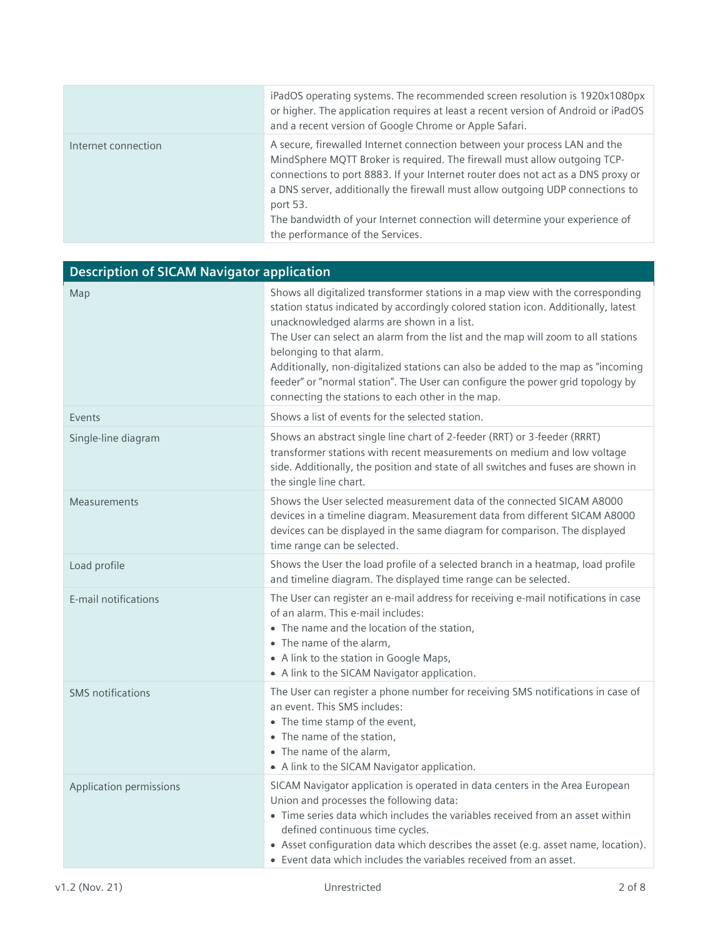|                     | iPadOS operating systems. The recommended screen resolution is 1920x1080px<br>or higher. The application requires at least a recent version of Android or iPadOS<br>and a recent version of Google Chrome or Apple Safari.                                                                                                                                                                                                                                  |
|---------------------|-------------------------------------------------------------------------------------------------------------------------------------------------------------------------------------------------------------------------------------------------------------------------------------------------------------------------------------------------------------------------------------------------------------------------------------------------------------|
| Internet connection | A secure, firewalled Internet connection between your process LAN and the<br>MindSphere MQTT Broker is required. The firewall must allow outgoing TCP-<br>connections to port 8883. If your Internet router does not act as a DNS proxy or<br>a DNS server, additionally the firewall must allow outgoing UDP connections to<br>port 53.<br>The bandwidth of your Internet connection will determine your experience of<br>the performance of the Services. |

| <b>Description of SICAM Navigator application</b> |                                                                                                                                                                                                                                                                                                                                                                                                                                                                                                                                                                |
|---------------------------------------------------|----------------------------------------------------------------------------------------------------------------------------------------------------------------------------------------------------------------------------------------------------------------------------------------------------------------------------------------------------------------------------------------------------------------------------------------------------------------------------------------------------------------------------------------------------------------|
| Map                                               | Shows all digitalized transformer stations in a map view with the corresponding<br>station status indicated by accordingly colored station icon. Additionally, latest<br>unacknowledged alarms are shown in a list.<br>The User can select an alarm from the list and the map will zoom to all stations<br>belonging to that alarm.<br>Additionally, non-digitalized stations can also be added to the map as "incoming<br>feeder" or "normal station". The User can configure the power grid topology by<br>connecting the stations to each other in the map. |
| Events                                            | Shows a list of events for the selected station.                                                                                                                                                                                                                                                                                                                                                                                                                                                                                                               |
| Single-line diagram                               | Shows an abstract single line chart of 2-feeder (RRT) or 3-feeder (RRRT)<br>transformer stations with recent measurements on medium and low voltage<br>side. Additionally, the position and state of all switches and fuses are shown in<br>the single line chart.                                                                                                                                                                                                                                                                                             |
| Measurements                                      | Shows the User selected measurement data of the connected SICAM A8000<br>devices in a timeline diagram. Measurement data from different SICAM A8000<br>devices can be displayed in the same diagram for comparison. The displayed<br>time range can be selected.                                                                                                                                                                                                                                                                                               |
| Load profile                                      | Shows the User the load profile of a selected branch in a heatmap, load profile<br>and timeline diagram. The displayed time range can be selected.                                                                                                                                                                                                                                                                                                                                                                                                             |
| E-mail notifications                              | The User can register an e-mail address for receiving e-mail notifications in case<br>of an alarm. This e-mail includes:<br>• The name and the location of the station,<br>• The name of the alarm,<br>• A link to the station in Google Maps,<br>A link to the SICAM Navigator application.                                                                                                                                                                                                                                                                   |
| <b>SMS</b> notifications                          | The User can register a phone number for receiving SMS notifications in case of<br>an event. This SMS includes:<br>• The time stamp of the event,<br>• The name of the station,<br>• The name of the alarm,<br>• A link to the SICAM Navigator application.                                                                                                                                                                                                                                                                                                    |
| Application permissions                           | SICAM Navigator application is operated in data centers in the Area European<br>Union and processes the following data:<br>• Time series data which includes the variables received from an asset within<br>defined continuous time cycles.<br>• Asset configuration data which describes the asset (e.g. asset name, location).<br>• Event data which includes the variables received from an asset.                                                                                                                                                          |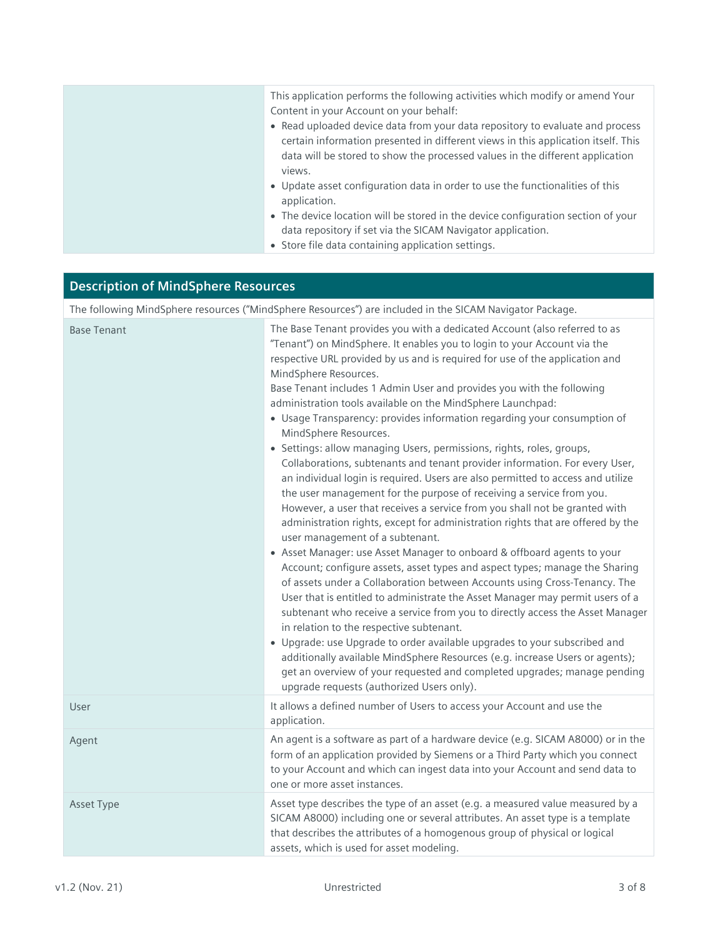## **Description of MindSphere Resources**

The following MindSphere resources ("MindSphere Resources") are included in the SICAM Navigator Package.

| <b>Base Tenant</b> | The Base Tenant provides you with a dedicated Account (also referred to as<br>"Tenant") on MindSphere. It enables you to login to your Account via the<br>respective URL provided by us and is required for use of the application and<br>MindSphere Resources.<br>Base Tenant includes 1 Admin User and provides you with the following<br>administration tools available on the MindSphere Launchpad:<br>• Usage Transparency: provides information regarding your consumption of<br>MindSphere Resources.<br>• Settings: allow managing Users, permissions, rights, roles, groups,<br>Collaborations, subtenants and tenant provider information. For every User,<br>an individual login is required. Users are also permitted to access and utilize<br>the user management for the purpose of receiving a service from you.<br>However, a user that receives a service from you shall not be granted with<br>administration rights, except for administration rights that are offered by the<br>user management of a subtenant.<br>• Asset Manager: use Asset Manager to onboard & offboard agents to your<br>Account; configure assets, asset types and aspect types; manage the Sharing<br>of assets under a Collaboration between Accounts using Cross-Tenancy. The<br>User that is entitled to administrate the Asset Manager may permit users of a<br>subtenant who receive a service from you to directly access the Asset Manager<br>in relation to the respective subtenant.<br>• Upgrade: use Upgrade to order available upgrades to your subscribed and<br>additionally available MindSphere Resources (e.g. increase Users or agents);<br>get an overview of your requested and completed upgrades; manage pending<br>upgrade requests (authorized Users only). |
|--------------------|--------------------------------------------------------------------------------------------------------------------------------------------------------------------------------------------------------------------------------------------------------------------------------------------------------------------------------------------------------------------------------------------------------------------------------------------------------------------------------------------------------------------------------------------------------------------------------------------------------------------------------------------------------------------------------------------------------------------------------------------------------------------------------------------------------------------------------------------------------------------------------------------------------------------------------------------------------------------------------------------------------------------------------------------------------------------------------------------------------------------------------------------------------------------------------------------------------------------------------------------------------------------------------------------------------------------------------------------------------------------------------------------------------------------------------------------------------------------------------------------------------------------------------------------------------------------------------------------------------------------------------------------------------------------------------------------------------------------------------------------------------------------------------|
| User               | It allows a defined number of Users to access your Account and use the<br>application.                                                                                                                                                                                                                                                                                                                                                                                                                                                                                                                                                                                                                                                                                                                                                                                                                                                                                                                                                                                                                                                                                                                                                                                                                                                                                                                                                                                                                                                                                                                                                                                                                                                                                         |
| Agent              | An agent is a software as part of a hardware device (e.g. SICAM A8000) or in the<br>form of an application provided by Siemens or a Third Party which you connect<br>to your Account and which can ingest data into your Account and send data to<br>one or more asset instances.                                                                                                                                                                                                                                                                                                                                                                                                                                                                                                                                                                                                                                                                                                                                                                                                                                                                                                                                                                                                                                                                                                                                                                                                                                                                                                                                                                                                                                                                                              |
| Asset Type         | Asset type describes the type of an asset (e.g. a measured value measured by a<br>SICAM A8000) including one or several attributes. An asset type is a template<br>that describes the attributes of a homogenous group of physical or logical<br>assets, which is used for asset modeling.                                                                                                                                                                                                                                                                                                                                                                                                                                                                                                                                                                                                                                                                                                                                                                                                                                                                                                                                                                                                                                                                                                                                                                                                                                                                                                                                                                                                                                                                                     |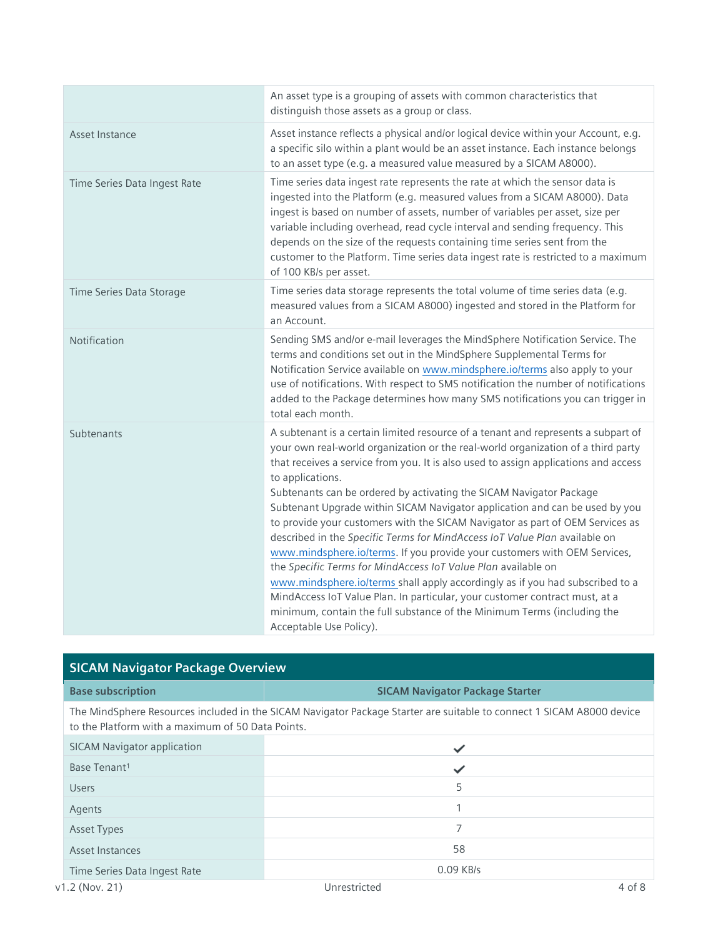|                              | An asset type is a grouping of assets with common characteristics that<br>distinguish those assets as a group or class.                                                                                                                                                                                                                                                                                                                                                                                                                                                                                                                                                                                                                                                                                                                                                                                                                                                                                                   |
|------------------------------|---------------------------------------------------------------------------------------------------------------------------------------------------------------------------------------------------------------------------------------------------------------------------------------------------------------------------------------------------------------------------------------------------------------------------------------------------------------------------------------------------------------------------------------------------------------------------------------------------------------------------------------------------------------------------------------------------------------------------------------------------------------------------------------------------------------------------------------------------------------------------------------------------------------------------------------------------------------------------------------------------------------------------|
| Asset Instance               | Asset instance reflects a physical and/or logical device within your Account, e.g.<br>a specific silo within a plant would be an asset instance. Each instance belongs<br>to an asset type (e.g. a measured value measured by a SICAM A8000).                                                                                                                                                                                                                                                                                                                                                                                                                                                                                                                                                                                                                                                                                                                                                                             |
| Time Series Data Ingest Rate | Time series data ingest rate represents the rate at which the sensor data is<br>ingested into the Platform (e.g. measured values from a SICAM A8000). Data<br>ingest is based on number of assets, number of variables per asset, size per<br>variable including overhead, read cycle interval and sending frequency. This<br>depends on the size of the requests containing time series sent from the<br>customer to the Platform. Time series data ingest rate is restricted to a maximum<br>of 100 KB/s per asset.                                                                                                                                                                                                                                                                                                                                                                                                                                                                                                     |
| Time Series Data Storage     | Time series data storage represents the total volume of time series data (e.g.<br>measured values from a SICAM A8000) ingested and stored in the Platform for<br>an Account.                                                                                                                                                                                                                                                                                                                                                                                                                                                                                                                                                                                                                                                                                                                                                                                                                                              |
| Notification                 | Sending SMS and/or e-mail leverages the MindSphere Notification Service. The<br>terms and conditions set out in the MindSphere Supplemental Terms for<br>Notification Service available on www.mindsphere.io/terms also apply to your<br>use of notifications. With respect to SMS notification the number of notifications<br>added to the Package determines how many SMS notifications you can trigger in<br>total each month.                                                                                                                                                                                                                                                                                                                                                                                                                                                                                                                                                                                         |
| Subtenants                   | A subtenant is a certain limited resource of a tenant and represents a subpart of<br>your own real-world organization or the real-world organization of a third party<br>that receives a service from you. It is also used to assign applications and access<br>to applications.<br>Subtenants can be ordered by activating the SICAM Navigator Package<br>Subtenant Upgrade within SICAM Navigator application and can be used by you<br>to provide your customers with the SICAM Navigator as part of OEM Services as<br>described in the Specific Terms for MindAccess IoT Value Plan available on<br>www.mindsphere.io/terms. If you provide your customers with OEM Services,<br>the Specific Terms for MindAccess IoT Value Plan available on<br>www.mindsphere.io/terms shall apply accordingly as if you had subscribed to a<br>MindAccess IoT Value Plan. In particular, your customer contract must, at a<br>minimum, contain the full substance of the Minimum Terms (including the<br>Acceptable Use Policy). |

| <b>SICAM Navigator Package Overview</b>           |                                                                                                                       |
|---------------------------------------------------|-----------------------------------------------------------------------------------------------------------------------|
| <b>Base subscription</b>                          | <b>SICAM Navigator Package Starter</b>                                                                                |
| to the Platform with a maximum of 50 Data Points. | The MindSphere Resources included in the SICAM Navigator Package Starter are suitable to connect 1 SICAM A8000 device |
| <b>SICAM Navigator application</b>                |                                                                                                                       |
| Base Tenant <sup>1</sup>                          | ✓                                                                                                                     |
| <b>Users</b>                                      | 5                                                                                                                     |
| Agents                                            | 1                                                                                                                     |
| <b>Asset Types</b>                                | 7                                                                                                                     |
| Asset Instances                                   | 58                                                                                                                    |
| Time Series Data Ingest Rate                      | 0.09 KB/s                                                                                                             |
| $v1.2$ (Nov. 21)                                  | Unrestricted<br>$4$ of $8$                                                                                            |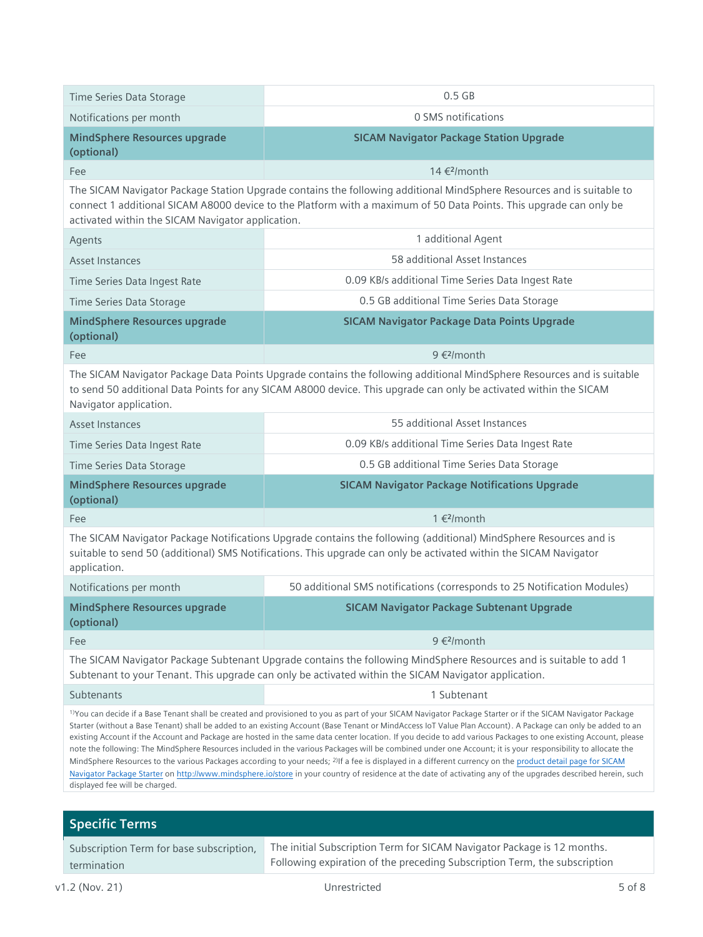| Time Series Data Storage                                                                                                                                                                                                                                                                                                                                                                                                                                                                                                                                                                                                                                                                                                                                                                                                                                                                                                                                                                                                                             | $0.5$ GB                                                                 |  |
|------------------------------------------------------------------------------------------------------------------------------------------------------------------------------------------------------------------------------------------------------------------------------------------------------------------------------------------------------------------------------------------------------------------------------------------------------------------------------------------------------------------------------------------------------------------------------------------------------------------------------------------------------------------------------------------------------------------------------------------------------------------------------------------------------------------------------------------------------------------------------------------------------------------------------------------------------------------------------------------------------------------------------------------------------|--------------------------------------------------------------------------|--|
| Notifications per month                                                                                                                                                                                                                                                                                                                                                                                                                                                                                                                                                                                                                                                                                                                                                                                                                                                                                                                                                                                                                              | 0 SMS notifications                                                      |  |
| <b>MindSphere Resources upgrade</b><br>(optional)                                                                                                                                                                                                                                                                                                                                                                                                                                                                                                                                                                                                                                                                                                                                                                                                                                                                                                                                                                                                    | <b>SICAM Navigator Package Station Upgrade</b>                           |  |
| Fee                                                                                                                                                                                                                                                                                                                                                                                                                                                                                                                                                                                                                                                                                                                                                                                                                                                                                                                                                                                                                                                  | 14 € <sup>2</sup> /month                                                 |  |
| The SICAM Navigator Package Station Upgrade contains the following additional MindSphere Resources and is suitable to<br>connect 1 additional SICAM A8000 device to the Platform with a maximum of 50 Data Points. This upgrade can only be<br>activated within the SICAM Navigator application.                                                                                                                                                                                                                                                                                                                                                                                                                                                                                                                                                                                                                                                                                                                                                     |                                                                          |  |
| Agents                                                                                                                                                                                                                                                                                                                                                                                                                                                                                                                                                                                                                                                                                                                                                                                                                                                                                                                                                                                                                                               | 1 additional Agent                                                       |  |
| <b>Asset Instances</b>                                                                                                                                                                                                                                                                                                                                                                                                                                                                                                                                                                                                                                                                                                                                                                                                                                                                                                                                                                                                                               | 58 additional Asset Instances                                            |  |
| Time Series Data Ingest Rate                                                                                                                                                                                                                                                                                                                                                                                                                                                                                                                                                                                                                                                                                                                                                                                                                                                                                                                                                                                                                         | 0.09 KB/s additional Time Series Data Ingest Rate                        |  |
| Time Series Data Storage                                                                                                                                                                                                                                                                                                                                                                                                                                                                                                                                                                                                                                                                                                                                                                                                                                                                                                                                                                                                                             | 0.5 GB additional Time Series Data Storage                               |  |
| <b>MindSphere Resources upgrade</b><br>(optional)                                                                                                                                                                                                                                                                                                                                                                                                                                                                                                                                                                                                                                                                                                                                                                                                                                                                                                                                                                                                    | <b>SICAM Navigator Package Data Points Upgrade</b>                       |  |
| Fee                                                                                                                                                                                                                                                                                                                                                                                                                                                                                                                                                                                                                                                                                                                                                                                                                                                                                                                                                                                                                                                  | 9 € <sup>2</sup> /month                                                  |  |
| The SICAM Navigator Package Data Points Upgrade contains the following additional MindSphere Resources and is suitable<br>to send 50 additional Data Points for any SICAM A8000 device. This upgrade can only be activated within the SICAM<br>Navigator application.                                                                                                                                                                                                                                                                                                                                                                                                                                                                                                                                                                                                                                                                                                                                                                                |                                                                          |  |
| <b>Asset Instances</b>                                                                                                                                                                                                                                                                                                                                                                                                                                                                                                                                                                                                                                                                                                                                                                                                                                                                                                                                                                                                                               | 55 additional Asset Instances                                            |  |
| Time Series Data Ingest Rate                                                                                                                                                                                                                                                                                                                                                                                                                                                                                                                                                                                                                                                                                                                                                                                                                                                                                                                                                                                                                         | 0.09 KB/s additional Time Series Data Ingest Rate                        |  |
| Time Series Data Storage                                                                                                                                                                                                                                                                                                                                                                                                                                                                                                                                                                                                                                                                                                                                                                                                                                                                                                                                                                                                                             | 0.5 GB additional Time Series Data Storage                               |  |
| <b>MindSphere Resources upgrade</b><br>(optional)                                                                                                                                                                                                                                                                                                                                                                                                                                                                                                                                                                                                                                                                                                                                                                                                                                                                                                                                                                                                    | <b>SICAM Navigator Package Notifications Upgrade</b>                     |  |
| Fee                                                                                                                                                                                                                                                                                                                                                                                                                                                                                                                                                                                                                                                                                                                                                                                                                                                                                                                                                                                                                                                  | 1 € <sup>2</sup> /month                                                  |  |
| The SICAM Navigator Package Notifications Upgrade contains the following (additional) MindSphere Resources and is<br>suitable to send 50 (additional) SMS Notifications. This upgrade can only be activated within the SICAM Navigator<br>application.                                                                                                                                                                                                                                                                                                                                                                                                                                                                                                                                                                                                                                                                                                                                                                                               |                                                                          |  |
| Notifications per month                                                                                                                                                                                                                                                                                                                                                                                                                                                                                                                                                                                                                                                                                                                                                                                                                                                                                                                                                                                                                              | 50 additional SMS notifications (corresponds to 25 Notification Modules) |  |
| <b>MindSphere Resources upgrade</b><br>(optional)                                                                                                                                                                                                                                                                                                                                                                                                                                                                                                                                                                                                                                                                                                                                                                                                                                                                                                                                                                                                    | <b>SICAM Navigator Package Subtenant Upgrade</b>                         |  |
| Fee                                                                                                                                                                                                                                                                                                                                                                                                                                                                                                                                                                                                                                                                                                                                                                                                                                                                                                                                                                                                                                                  | 9 € <sup>2</sup> /month                                                  |  |
| The SICAM Navigator Package Subtenant Upgrade contains the following MindSphere Resources and is suitable to add 1<br>Subtenant to your Tenant. This upgrade can only be activated within the SICAM Navigator application.                                                                                                                                                                                                                                                                                                                                                                                                                                                                                                                                                                                                                                                                                                                                                                                                                           |                                                                          |  |
| Subtenants                                                                                                                                                                                                                                                                                                                                                                                                                                                                                                                                                                                                                                                                                                                                                                                                                                                                                                                                                                                                                                           | 1 Subtenant                                                              |  |
| <sup>1)</sup> You can decide if a Base Tenant shall be created and provisioned to you as part of your SICAM Navigator Package Starter or if the SICAM Navigator Package<br>Starter (without a Base Tenant) shall be added to an existing Account (Base Tenant or MindAccess IoT Value Plan Account). A Package can only be added to an<br>existing Account if the Account and Package are hosted in the same data center location. If you decide to add various Packages to one existing Account, please<br>note the following: The MindSphere Resources included in the various Packages will be combined under one Account; it is your responsibility to allocate the<br>MindSphere Resources to the various Packages according to your needs; <sup>2)</sup> If a fee is displayed in a different currency on the product detail page for SICAM<br>Navigator Package Starter on http://www.mindsphere.io/store in your country of residence at the date of activating any of the upgrades described herein, such<br>displayed fee will be charged. |                                                                          |  |
| <b>Specific Terms</b>                                                                                                                                                                                                                                                                                                                                                                                                                                                                                                                                                                                                                                                                                                                                                                                                                                                                                                                                                                                                                                |                                                                          |  |
| Subscription Term for base subscription,                                                                                                                                                                                                                                                                                                                                                                                                                                                                                                                                                                                                                                                                                                                                                                                                                                                                                                                                                                                                             | The initial Subscription Term for SICAM Navigator Package is 12 months.  |  |

termination

Following expiration of the preceding Subscription Term, the subscription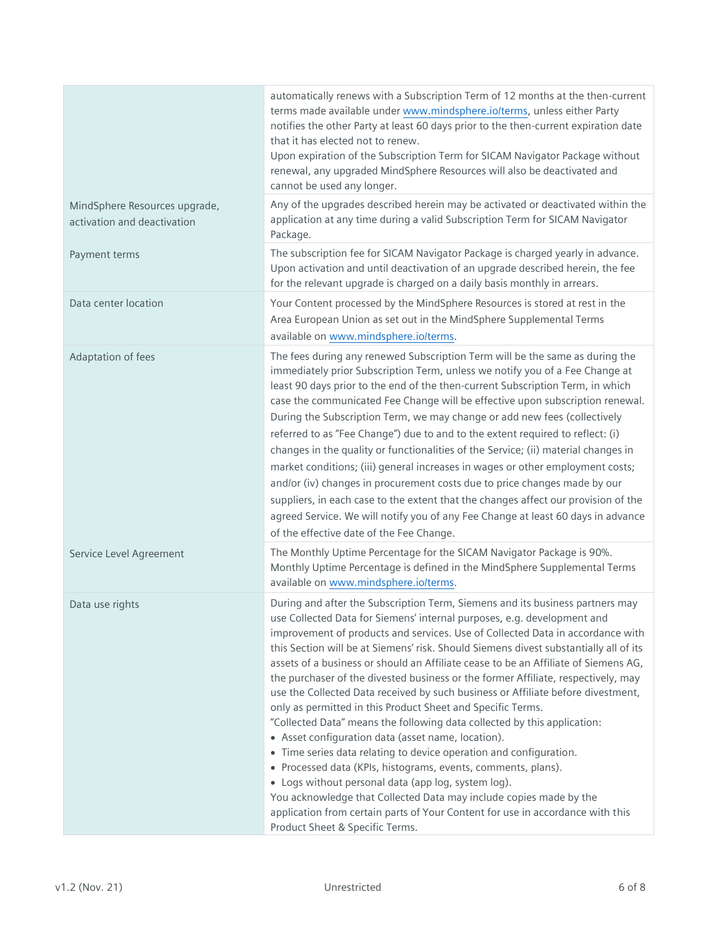|                                                              | automatically renews with a Subscription Term of 12 months at the then-current<br>terms made available under www.mindsphere.io/terms, unless either Party<br>notifies the other Party at least 60 days prior to the then-current expiration date<br>that it has elected not to renew.<br>Upon expiration of the Subscription Term for SICAM Navigator Package without<br>renewal, any upgraded MindSphere Resources will also be deactivated and<br>cannot be used any longer.                                                                                                                                                                                                                                                                                                                                                                                                                                                                                                                                                                                                                                                                                                                |
|--------------------------------------------------------------|-----------------------------------------------------------------------------------------------------------------------------------------------------------------------------------------------------------------------------------------------------------------------------------------------------------------------------------------------------------------------------------------------------------------------------------------------------------------------------------------------------------------------------------------------------------------------------------------------------------------------------------------------------------------------------------------------------------------------------------------------------------------------------------------------------------------------------------------------------------------------------------------------------------------------------------------------------------------------------------------------------------------------------------------------------------------------------------------------------------------------------------------------------------------------------------------------|
| MindSphere Resources upgrade,<br>activation and deactivation | Any of the upgrades described herein may be activated or deactivated within the<br>application at any time during a valid Subscription Term for SICAM Navigator<br>Package.                                                                                                                                                                                                                                                                                                                                                                                                                                                                                                                                                                                                                                                                                                                                                                                                                                                                                                                                                                                                                   |
| Payment terms                                                | The subscription fee for SICAM Navigator Package is charged yearly in advance.<br>Upon activation and until deactivation of an upgrade described herein, the fee<br>for the relevant upgrade is charged on a daily basis monthly in arrears.                                                                                                                                                                                                                                                                                                                                                                                                                                                                                                                                                                                                                                                                                                                                                                                                                                                                                                                                                  |
| Data center location                                         | Your Content processed by the MindSphere Resources is stored at rest in the<br>Area European Union as set out in the MindSphere Supplemental Terms<br>available on www.mindsphere.io/terms.                                                                                                                                                                                                                                                                                                                                                                                                                                                                                                                                                                                                                                                                                                                                                                                                                                                                                                                                                                                                   |
| Adaptation of fees                                           | The fees during any renewed Subscription Term will be the same as during the<br>immediately prior Subscription Term, unless we notify you of a Fee Change at<br>least 90 days prior to the end of the then-current Subscription Term, in which<br>case the communicated Fee Change will be effective upon subscription renewal.<br>During the Subscription Term, we may change or add new fees (collectively<br>referred to as "Fee Change") due to and to the extent required to reflect: (i)<br>changes in the quality or functionalities of the Service; (ii) material changes in<br>market conditions; (iii) general increases in wages or other employment costs;<br>and/or (iv) changes in procurement costs due to price changes made by our<br>suppliers, in each case to the extent that the changes affect our provision of the<br>agreed Service. We will notify you of any Fee Change at least 60 days in advance<br>of the effective date of the Fee Change.                                                                                                                                                                                                                     |
| Service Level Agreement                                      | The Monthly Uptime Percentage for the SICAM Navigator Package is 90%.<br>Monthly Uptime Percentage is defined in the MindSphere Supplemental Terms<br>available on www.mindsphere.io/terms.                                                                                                                                                                                                                                                                                                                                                                                                                                                                                                                                                                                                                                                                                                                                                                                                                                                                                                                                                                                                   |
| Data use rights                                              | During and after the Subscription Term, Siemens and its business partners may<br>use Collected Data for Siemens' internal purposes, e.g. development and<br>improvement of products and services. Use of Collected Data in accordance with<br>this Section will be at Siemens' risk. Should Siemens divest substantially all of its<br>assets of a business or should an Affiliate cease to be an Affiliate of Siemens AG,<br>the purchaser of the divested business or the former Affiliate, respectively, may<br>use the Collected Data received by such business or Affiliate before divestment,<br>only as permitted in this Product Sheet and Specific Terms.<br>"Collected Data" means the following data collected by this application:<br>• Asset configuration data (asset name, location).<br>• Time series data relating to device operation and configuration.<br>• Processed data (KPIs, histograms, events, comments, plans).<br>• Logs without personal data (app log, system log).<br>You acknowledge that Collected Data may include copies made by the<br>application from certain parts of Your Content for use in accordance with this<br>Product Sheet & Specific Terms. |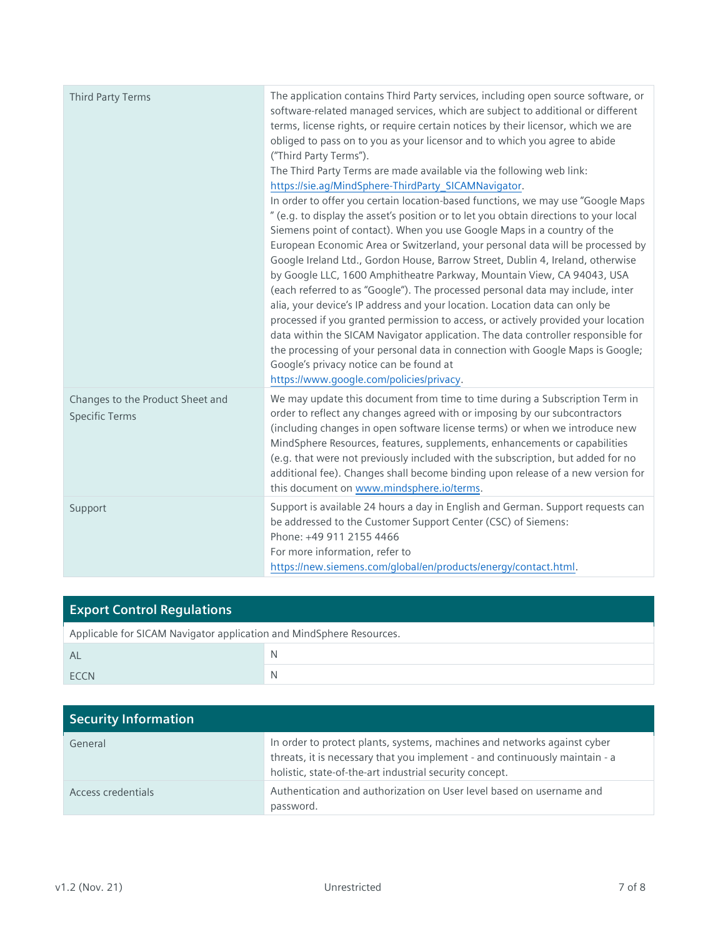| Third Party Terms                                         | The application contains Third Party services, including open source software, or<br>software-related managed services, which are subject to additional or different<br>terms, license rights, or require certain notices by their licensor, which we are<br>obliged to pass on to you as your licensor and to which you agree to abide<br>("Third Party Terms").<br>The Third Party Terms are made available via the following web link:<br>https://sie.ag/MindSphere-ThirdParty_SICAMNavigator.<br>In order to offer you certain location-based functions, we may use "Google Maps<br>" (e.g. to display the asset's position or to let you obtain directions to your local<br>Siemens point of contact). When you use Google Maps in a country of the<br>European Economic Area or Switzerland, your personal data will be processed by<br>Google Ireland Ltd., Gordon House, Barrow Street, Dublin 4, Ireland, otherwise<br>by Google LLC, 1600 Amphitheatre Parkway, Mountain View, CA 94043, USA<br>(each referred to as "Google"). The processed personal data may include, inter<br>alia, your device's IP address and your location. Location data can only be<br>processed if you granted permission to access, or actively provided your location<br>data within the SICAM Navigator application. The data controller responsible for<br>the processing of your personal data in connection with Google Maps is Google;<br>Google's privacy notice can be found at<br>https://www.google.com/policies/privacy. |
|-----------------------------------------------------------|---------------------------------------------------------------------------------------------------------------------------------------------------------------------------------------------------------------------------------------------------------------------------------------------------------------------------------------------------------------------------------------------------------------------------------------------------------------------------------------------------------------------------------------------------------------------------------------------------------------------------------------------------------------------------------------------------------------------------------------------------------------------------------------------------------------------------------------------------------------------------------------------------------------------------------------------------------------------------------------------------------------------------------------------------------------------------------------------------------------------------------------------------------------------------------------------------------------------------------------------------------------------------------------------------------------------------------------------------------------------------------------------------------------------------------------------------------------------------------------------------------------------------|
| Changes to the Product Sheet and<br><b>Specific Terms</b> | We may update this document from time to time during a Subscription Term in<br>order to reflect any changes agreed with or imposing by our subcontractors<br>(including changes in open software license terms) or when we introduce new<br>MindSphere Resources, features, supplements, enhancements or capabilities<br>(e.g. that were not previously included with the subscription, but added for no<br>additional fee). Changes shall become binding upon release of a new version for<br>this document on www.mindsphere.io/terms.                                                                                                                                                                                                                                                                                                                                                                                                                                                                                                                                                                                                                                                                                                                                                                                                                                                                                                                                                                                  |
| Support                                                   | Support is available 24 hours a day in English and German. Support requests can<br>be addressed to the Customer Support Center (CSC) of Siemens:<br>Phone: +49 911 2155 4466<br>For more information, refer to<br>https://new.siemens.com/global/en/products/energy/contact.html.                                                                                                                                                                                                                                                                                                                                                                                                                                                                                                                                                                                                                                                                                                                                                                                                                                                                                                                                                                                                                                                                                                                                                                                                                                         |

| <b>Export Control Regulations</b>                                    |   |
|----------------------------------------------------------------------|---|
| Applicable for SICAM Navigator application and MindSphere Resources. |   |
| AL                                                                   |   |
| <b>FCCN</b>                                                          | N |

| <b>Security Information</b> |                                                                                                                                                                                                                    |
|-----------------------------|--------------------------------------------------------------------------------------------------------------------------------------------------------------------------------------------------------------------|
| General                     | In order to protect plants, systems, machines and networks against cyber<br>threats, it is necessary that you implement - and continuously maintain - a<br>holistic, state-of-the-art industrial security concept. |
| Access credentials          | Authentication and authorization on User level based on username and<br>password.                                                                                                                                  |